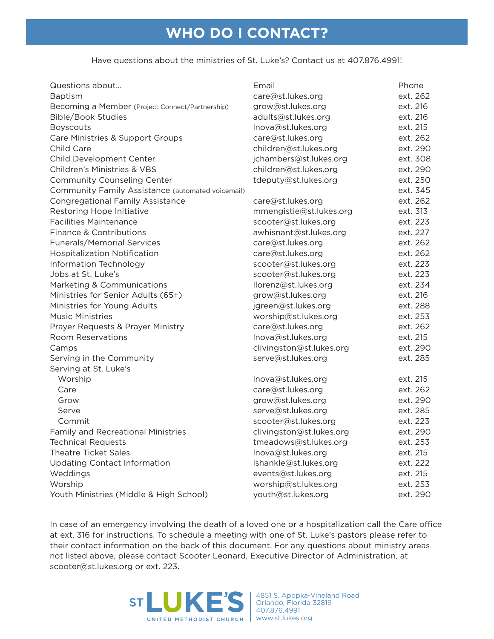## **WHO DO I CONTACT?**

Have questions about the ministries of St. Luke's? Contact us at 407.876.4991!

| <b>Baptism</b><br>care@st.lukes.org<br>ext. 262<br>ext. 216<br>grow@st.lukes.org<br>Becoming a Member (Project Connect/Partnership)<br>ext. 216<br><b>Bible/Book Studies</b><br>adults@st.lukes.org<br>ext. 215<br><b>Boyscouts</b><br>Inova@st.lukes.org<br>ext. 262<br>Care Ministries & Support Groups<br>care@st.lukes.org<br>Child Care<br>children@st.lukes.org<br>ext. 290<br>ext. 308<br>jchambers@st.lukes.org<br>Child Development Center<br>ext. 290<br>Children's Ministries & VBS<br>children@st.lukes.org<br>ext. 250<br>tdeputy@st.lukes.org<br><b>Community Counseling Center</b><br>ext. 345<br>Community Family Assistance (automated voicemail)<br>ext. 262<br><b>Congregational Family Assistance</b><br>care@st.lukes.org<br>mmengistie@st.lukes.org<br>ext. 313<br>Restoring Hope Initiative<br><b>Facilities Maintenance</b><br>scooter@st.lukes.org<br>ext. 223<br>ext. 227<br><b>Finance &amp; Contributions</b><br>awhisnant@st.lukes.org<br>ext. 262<br><b>Funerals/Memorial Services</b><br>care@st.lukes.org<br>care@st.lukes.org<br>ext. 262<br><b>Hospitalization Notification</b><br>ext. 223<br>Information Technology<br>scooter@st.lukes.org<br>Jobs at St. Luke's<br>ext. 223<br>scooter@st.lukes.org<br>ext. 234<br>Marketing & Communications<br>llorenz@st.lukes.org<br>ext. 216<br>Ministries for Senior Adults (65+)<br>grow@st.lukes.org<br>ext. 288<br>Ministries for Young Adults<br>jgreen@st.lukes.org<br><b>Music Ministries</b><br>worship@st.lukes.org<br>ext. 253<br>ext. 262<br>Prayer Requests & Prayer Ministry<br>care@st.lukes.org<br>Inova@st.lukes.org<br>ext. 215<br>Room Reservations<br>clivingston@st.lukes.org<br>ext. 290<br>Camps<br>ext. 285<br>Serving in the Community<br>serve@st.lukes.org<br>Serving at St. Luke's<br>Worship<br>ext. 215<br>Inova@st.lukes.org<br>ext. 262<br>care@st.lukes.org<br>Care<br>ext. 290<br>Grow<br>grow@st.lukes.org<br>ext. 285<br>serve@st.lukes.org<br>Serve<br>ext. 223<br>scooter@st.lukes.org<br>Commit<br>ext. 290<br>clivingston@st.lukes.org<br>Family and Recreational Ministries<br>ext. 253<br><b>Technical Requests</b><br>tmeadows@st.lukes.org<br><b>Theatre Ticket Sales</b><br>Inova@st.lukes.org<br>ext. 215<br><b>Updating Contact Information</b><br>Ishankle@st.lukes.org<br>ext. 222<br>Weddings<br>events@st.lukes.org<br>ext. 215<br>Worship<br>worship@st.lukes.org<br>ext. 253<br>youth@st.lukes.org<br>ext. 290<br>Youth Ministries (Middle & High School) | Questions about | Email | Phone |
|------------------------------------------------------------------------------------------------------------------------------------------------------------------------------------------------------------------------------------------------------------------------------------------------------------------------------------------------------------------------------------------------------------------------------------------------------------------------------------------------------------------------------------------------------------------------------------------------------------------------------------------------------------------------------------------------------------------------------------------------------------------------------------------------------------------------------------------------------------------------------------------------------------------------------------------------------------------------------------------------------------------------------------------------------------------------------------------------------------------------------------------------------------------------------------------------------------------------------------------------------------------------------------------------------------------------------------------------------------------------------------------------------------------------------------------------------------------------------------------------------------------------------------------------------------------------------------------------------------------------------------------------------------------------------------------------------------------------------------------------------------------------------------------------------------------------------------------------------------------------------------------------------------------------------------------------------------------------------------------------------------------------------------------------------------------------------------------------------------------------------------------------------------------------------------------------------------------------------------------------------------------------------------------------------------------------------------------------------------------------------------------------------------------------------------------------------------------------------------------|-----------------|-------|-------|
|                                                                                                                                                                                                                                                                                                                                                                                                                                                                                                                                                                                                                                                                                                                                                                                                                                                                                                                                                                                                                                                                                                                                                                                                                                                                                                                                                                                                                                                                                                                                                                                                                                                                                                                                                                                                                                                                                                                                                                                                                                                                                                                                                                                                                                                                                                                                                                                                                                                                                          |                 |       |       |
|                                                                                                                                                                                                                                                                                                                                                                                                                                                                                                                                                                                                                                                                                                                                                                                                                                                                                                                                                                                                                                                                                                                                                                                                                                                                                                                                                                                                                                                                                                                                                                                                                                                                                                                                                                                                                                                                                                                                                                                                                                                                                                                                                                                                                                                                                                                                                                                                                                                                                          |                 |       |       |
|                                                                                                                                                                                                                                                                                                                                                                                                                                                                                                                                                                                                                                                                                                                                                                                                                                                                                                                                                                                                                                                                                                                                                                                                                                                                                                                                                                                                                                                                                                                                                                                                                                                                                                                                                                                                                                                                                                                                                                                                                                                                                                                                                                                                                                                                                                                                                                                                                                                                                          |                 |       |       |
|                                                                                                                                                                                                                                                                                                                                                                                                                                                                                                                                                                                                                                                                                                                                                                                                                                                                                                                                                                                                                                                                                                                                                                                                                                                                                                                                                                                                                                                                                                                                                                                                                                                                                                                                                                                                                                                                                                                                                                                                                                                                                                                                                                                                                                                                                                                                                                                                                                                                                          |                 |       |       |
|                                                                                                                                                                                                                                                                                                                                                                                                                                                                                                                                                                                                                                                                                                                                                                                                                                                                                                                                                                                                                                                                                                                                                                                                                                                                                                                                                                                                                                                                                                                                                                                                                                                                                                                                                                                                                                                                                                                                                                                                                                                                                                                                                                                                                                                                                                                                                                                                                                                                                          |                 |       |       |
|                                                                                                                                                                                                                                                                                                                                                                                                                                                                                                                                                                                                                                                                                                                                                                                                                                                                                                                                                                                                                                                                                                                                                                                                                                                                                                                                                                                                                                                                                                                                                                                                                                                                                                                                                                                                                                                                                                                                                                                                                                                                                                                                                                                                                                                                                                                                                                                                                                                                                          |                 |       |       |
|                                                                                                                                                                                                                                                                                                                                                                                                                                                                                                                                                                                                                                                                                                                                                                                                                                                                                                                                                                                                                                                                                                                                                                                                                                                                                                                                                                                                                                                                                                                                                                                                                                                                                                                                                                                                                                                                                                                                                                                                                                                                                                                                                                                                                                                                                                                                                                                                                                                                                          |                 |       |       |
|                                                                                                                                                                                                                                                                                                                                                                                                                                                                                                                                                                                                                                                                                                                                                                                                                                                                                                                                                                                                                                                                                                                                                                                                                                                                                                                                                                                                                                                                                                                                                                                                                                                                                                                                                                                                                                                                                                                                                                                                                                                                                                                                                                                                                                                                                                                                                                                                                                                                                          |                 |       |       |
|                                                                                                                                                                                                                                                                                                                                                                                                                                                                                                                                                                                                                                                                                                                                                                                                                                                                                                                                                                                                                                                                                                                                                                                                                                                                                                                                                                                                                                                                                                                                                                                                                                                                                                                                                                                                                                                                                                                                                                                                                                                                                                                                                                                                                                                                                                                                                                                                                                                                                          |                 |       |       |
|                                                                                                                                                                                                                                                                                                                                                                                                                                                                                                                                                                                                                                                                                                                                                                                                                                                                                                                                                                                                                                                                                                                                                                                                                                                                                                                                                                                                                                                                                                                                                                                                                                                                                                                                                                                                                                                                                                                                                                                                                                                                                                                                                                                                                                                                                                                                                                                                                                                                                          |                 |       |       |
|                                                                                                                                                                                                                                                                                                                                                                                                                                                                                                                                                                                                                                                                                                                                                                                                                                                                                                                                                                                                                                                                                                                                                                                                                                                                                                                                                                                                                                                                                                                                                                                                                                                                                                                                                                                                                                                                                                                                                                                                                                                                                                                                                                                                                                                                                                                                                                                                                                                                                          |                 |       |       |
|                                                                                                                                                                                                                                                                                                                                                                                                                                                                                                                                                                                                                                                                                                                                                                                                                                                                                                                                                                                                                                                                                                                                                                                                                                                                                                                                                                                                                                                                                                                                                                                                                                                                                                                                                                                                                                                                                                                                                                                                                                                                                                                                                                                                                                                                                                                                                                                                                                                                                          |                 |       |       |
|                                                                                                                                                                                                                                                                                                                                                                                                                                                                                                                                                                                                                                                                                                                                                                                                                                                                                                                                                                                                                                                                                                                                                                                                                                                                                                                                                                                                                                                                                                                                                                                                                                                                                                                                                                                                                                                                                                                                                                                                                                                                                                                                                                                                                                                                                                                                                                                                                                                                                          |                 |       |       |
|                                                                                                                                                                                                                                                                                                                                                                                                                                                                                                                                                                                                                                                                                                                                                                                                                                                                                                                                                                                                                                                                                                                                                                                                                                                                                                                                                                                                                                                                                                                                                                                                                                                                                                                                                                                                                                                                                                                                                                                                                                                                                                                                                                                                                                                                                                                                                                                                                                                                                          |                 |       |       |
|                                                                                                                                                                                                                                                                                                                                                                                                                                                                                                                                                                                                                                                                                                                                                                                                                                                                                                                                                                                                                                                                                                                                                                                                                                                                                                                                                                                                                                                                                                                                                                                                                                                                                                                                                                                                                                                                                                                                                                                                                                                                                                                                                                                                                                                                                                                                                                                                                                                                                          |                 |       |       |
|                                                                                                                                                                                                                                                                                                                                                                                                                                                                                                                                                                                                                                                                                                                                                                                                                                                                                                                                                                                                                                                                                                                                                                                                                                                                                                                                                                                                                                                                                                                                                                                                                                                                                                                                                                                                                                                                                                                                                                                                                                                                                                                                                                                                                                                                                                                                                                                                                                                                                          |                 |       |       |
|                                                                                                                                                                                                                                                                                                                                                                                                                                                                                                                                                                                                                                                                                                                                                                                                                                                                                                                                                                                                                                                                                                                                                                                                                                                                                                                                                                                                                                                                                                                                                                                                                                                                                                                                                                                                                                                                                                                                                                                                                                                                                                                                                                                                                                                                                                                                                                                                                                                                                          |                 |       |       |
|                                                                                                                                                                                                                                                                                                                                                                                                                                                                                                                                                                                                                                                                                                                                                                                                                                                                                                                                                                                                                                                                                                                                                                                                                                                                                                                                                                                                                                                                                                                                                                                                                                                                                                                                                                                                                                                                                                                                                                                                                                                                                                                                                                                                                                                                                                                                                                                                                                                                                          |                 |       |       |
|                                                                                                                                                                                                                                                                                                                                                                                                                                                                                                                                                                                                                                                                                                                                                                                                                                                                                                                                                                                                                                                                                                                                                                                                                                                                                                                                                                                                                                                                                                                                                                                                                                                                                                                                                                                                                                                                                                                                                                                                                                                                                                                                                                                                                                                                                                                                                                                                                                                                                          |                 |       |       |
|                                                                                                                                                                                                                                                                                                                                                                                                                                                                                                                                                                                                                                                                                                                                                                                                                                                                                                                                                                                                                                                                                                                                                                                                                                                                                                                                                                                                                                                                                                                                                                                                                                                                                                                                                                                                                                                                                                                                                                                                                                                                                                                                                                                                                                                                                                                                                                                                                                                                                          |                 |       |       |
|                                                                                                                                                                                                                                                                                                                                                                                                                                                                                                                                                                                                                                                                                                                                                                                                                                                                                                                                                                                                                                                                                                                                                                                                                                                                                                                                                                                                                                                                                                                                                                                                                                                                                                                                                                                                                                                                                                                                                                                                                                                                                                                                                                                                                                                                                                                                                                                                                                                                                          |                 |       |       |
|                                                                                                                                                                                                                                                                                                                                                                                                                                                                                                                                                                                                                                                                                                                                                                                                                                                                                                                                                                                                                                                                                                                                                                                                                                                                                                                                                                                                                                                                                                                                                                                                                                                                                                                                                                                                                                                                                                                                                                                                                                                                                                                                                                                                                                                                                                                                                                                                                                                                                          |                 |       |       |
|                                                                                                                                                                                                                                                                                                                                                                                                                                                                                                                                                                                                                                                                                                                                                                                                                                                                                                                                                                                                                                                                                                                                                                                                                                                                                                                                                                                                                                                                                                                                                                                                                                                                                                                                                                                                                                                                                                                                                                                                                                                                                                                                                                                                                                                                                                                                                                                                                                                                                          |                 |       |       |
|                                                                                                                                                                                                                                                                                                                                                                                                                                                                                                                                                                                                                                                                                                                                                                                                                                                                                                                                                                                                                                                                                                                                                                                                                                                                                                                                                                                                                                                                                                                                                                                                                                                                                                                                                                                                                                                                                                                                                                                                                                                                                                                                                                                                                                                                                                                                                                                                                                                                                          |                 |       |       |
|                                                                                                                                                                                                                                                                                                                                                                                                                                                                                                                                                                                                                                                                                                                                                                                                                                                                                                                                                                                                                                                                                                                                                                                                                                                                                                                                                                                                                                                                                                                                                                                                                                                                                                                                                                                                                                                                                                                                                                                                                                                                                                                                                                                                                                                                                                                                                                                                                                                                                          |                 |       |       |
|                                                                                                                                                                                                                                                                                                                                                                                                                                                                                                                                                                                                                                                                                                                                                                                                                                                                                                                                                                                                                                                                                                                                                                                                                                                                                                                                                                                                                                                                                                                                                                                                                                                                                                                                                                                                                                                                                                                                                                                                                                                                                                                                                                                                                                                                                                                                                                                                                                                                                          |                 |       |       |
|                                                                                                                                                                                                                                                                                                                                                                                                                                                                                                                                                                                                                                                                                                                                                                                                                                                                                                                                                                                                                                                                                                                                                                                                                                                                                                                                                                                                                                                                                                                                                                                                                                                                                                                                                                                                                                                                                                                                                                                                                                                                                                                                                                                                                                                                                                                                                                                                                                                                                          |                 |       |       |
|                                                                                                                                                                                                                                                                                                                                                                                                                                                                                                                                                                                                                                                                                                                                                                                                                                                                                                                                                                                                                                                                                                                                                                                                                                                                                                                                                                                                                                                                                                                                                                                                                                                                                                                                                                                                                                                                                                                                                                                                                                                                                                                                                                                                                                                                                                                                                                                                                                                                                          |                 |       |       |
|                                                                                                                                                                                                                                                                                                                                                                                                                                                                                                                                                                                                                                                                                                                                                                                                                                                                                                                                                                                                                                                                                                                                                                                                                                                                                                                                                                                                                                                                                                                                                                                                                                                                                                                                                                                                                                                                                                                                                                                                                                                                                                                                                                                                                                                                                                                                                                                                                                                                                          |                 |       |       |
|                                                                                                                                                                                                                                                                                                                                                                                                                                                                                                                                                                                                                                                                                                                                                                                                                                                                                                                                                                                                                                                                                                                                                                                                                                                                                                                                                                                                                                                                                                                                                                                                                                                                                                                                                                                                                                                                                                                                                                                                                                                                                                                                                                                                                                                                                                                                                                                                                                                                                          |                 |       |       |
|                                                                                                                                                                                                                                                                                                                                                                                                                                                                                                                                                                                                                                                                                                                                                                                                                                                                                                                                                                                                                                                                                                                                                                                                                                                                                                                                                                                                                                                                                                                                                                                                                                                                                                                                                                                                                                                                                                                                                                                                                                                                                                                                                                                                                                                                                                                                                                                                                                                                                          |                 |       |       |
|                                                                                                                                                                                                                                                                                                                                                                                                                                                                                                                                                                                                                                                                                                                                                                                                                                                                                                                                                                                                                                                                                                                                                                                                                                                                                                                                                                                                                                                                                                                                                                                                                                                                                                                                                                                                                                                                                                                                                                                                                                                                                                                                                                                                                                                                                                                                                                                                                                                                                          |                 |       |       |
|                                                                                                                                                                                                                                                                                                                                                                                                                                                                                                                                                                                                                                                                                                                                                                                                                                                                                                                                                                                                                                                                                                                                                                                                                                                                                                                                                                                                                                                                                                                                                                                                                                                                                                                                                                                                                                                                                                                                                                                                                                                                                                                                                                                                                                                                                                                                                                                                                                                                                          |                 |       |       |
|                                                                                                                                                                                                                                                                                                                                                                                                                                                                                                                                                                                                                                                                                                                                                                                                                                                                                                                                                                                                                                                                                                                                                                                                                                                                                                                                                                                                                                                                                                                                                                                                                                                                                                                                                                                                                                                                                                                                                                                                                                                                                                                                                                                                                                                                                                                                                                                                                                                                                          |                 |       |       |
|                                                                                                                                                                                                                                                                                                                                                                                                                                                                                                                                                                                                                                                                                                                                                                                                                                                                                                                                                                                                                                                                                                                                                                                                                                                                                                                                                                                                                                                                                                                                                                                                                                                                                                                                                                                                                                                                                                                                                                                                                                                                                                                                                                                                                                                                                                                                                                                                                                                                                          |                 |       |       |
|                                                                                                                                                                                                                                                                                                                                                                                                                                                                                                                                                                                                                                                                                                                                                                                                                                                                                                                                                                                                                                                                                                                                                                                                                                                                                                                                                                                                                                                                                                                                                                                                                                                                                                                                                                                                                                                                                                                                                                                                                                                                                                                                                                                                                                                                                                                                                                                                                                                                                          |                 |       |       |
|                                                                                                                                                                                                                                                                                                                                                                                                                                                                                                                                                                                                                                                                                                                                                                                                                                                                                                                                                                                                                                                                                                                                                                                                                                                                                                                                                                                                                                                                                                                                                                                                                                                                                                                                                                                                                                                                                                                                                                                                                                                                                                                                                                                                                                                                                                                                                                                                                                                                                          |                 |       |       |
|                                                                                                                                                                                                                                                                                                                                                                                                                                                                                                                                                                                                                                                                                                                                                                                                                                                                                                                                                                                                                                                                                                                                                                                                                                                                                                                                                                                                                                                                                                                                                                                                                                                                                                                                                                                                                                                                                                                                                                                                                                                                                                                                                                                                                                                                                                                                                                                                                                                                                          |                 |       |       |
|                                                                                                                                                                                                                                                                                                                                                                                                                                                                                                                                                                                                                                                                                                                                                                                                                                                                                                                                                                                                                                                                                                                                                                                                                                                                                                                                                                                                                                                                                                                                                                                                                                                                                                                                                                                                                                                                                                                                                                                                                                                                                                                                                                                                                                                                                                                                                                                                                                                                                          |                 |       |       |

In case of an emergency involving the death of a loved one or a hospitalization call the Care office at ext. 316 for instructions. To schedule a meeting with one of St. Luke's pastors please refer to their contact information on the back of this document. For any questions about ministry areas not listed above, please contact Scooter Leonard, Executive Director of Administration, at scooter@st.lukes.org or ext. 223.



4851 S. Apopka-Vineland Road Orlando, Florida 32819 407.876.4991